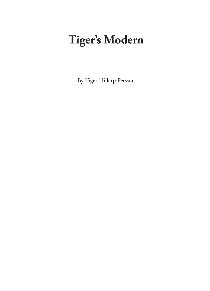# Tiger's Modern

By Tiger Hillarp Persson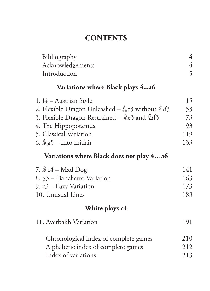## **CONTENTS**

| Bibliography                                              | 4              |
|-----------------------------------------------------------|----------------|
| Acknowledgements                                          | $\overline{4}$ |
| Introduction                                              | 5              |
| Variations where Black plays 4a6                          |                |
| 1. f4 – Austrian Style                                    | 15             |
| 2. Flexible Dragon Unleashed – பீச3 without $\bigcirc$ f3 | 53             |
| 3. Flexible Dragon Restrained – $2e^3$ and $2f^3$         | 73             |
| 4. The Hippopotamus                                       | 93             |
| 5. Classical Variation                                    | 119            |
| 6. $\&$ g5 – Into midair                                  | 133            |
| Variations where Black does not play 4…a6                 |                |
| 7. 奠c4 – Mad Dog                                          | 141            |
| 8. g3 – Fianchetto Variation                              | 163            |
| 9. c3 – Lazy Variation                                    | 173            |
| 10. Unusual Lines                                         | 183            |
| White plays c4                                            |                |
| 11. Averbakh Variation                                    | 191            |
| Chronological index of complete games                     | 210            |
| Alphabetic index of complete games                        | 212            |
| Index of variations                                       | 213            |
|                                                           |                |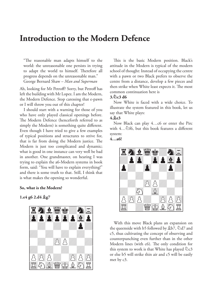### **Introduction to the Modern Defence**

"The reasonable man adapts himself to the world: the unreasonable one persists in trying to adapt the world to himself. Therefore all progress depends on the unreasonable man." George Bernard Shaw - Man and Superman

Ah, looking for Mr Petroff? Sorry, but Petroff has left the building with Mr Lopez. I am the Modern, the Modern Defence. Stop caressing that e-pawn or I will throw you out of this chapter!

I should start with a warning for those of you who have only played classical openings before. The Modern Defence (henceforth referred to as simply the Modern) is something quite different. Even though I have tried to give a few examples of typical positions and structures to strive for, that is far from doing the Modern justice. The Modern is just too complicated and dynamic; what is good in one instance can very well be bad in another. One grandmaster, on hearing I was trying to explain the a6-Modern systems in book form, said: "You will have to explain everything!" and there is some truth to that. Still, I think that is what makes the opening so wonderful.

#### So, what is the Modern?

1.e4 g6 2.d4  $g$ g7



This is the basic Modern position. Black's attitude in the Modern is typical of the modern school of thought: Instead of occupying the centre with a pawn or two Black prefers to observe the centre from a distance, develop a few pieces and then strike when White least expects it. The most common continuation here is

#### 3. $\sqrt[6]{6}$  d6

Now White is faced with a wide choice. To illustrate the system featured in this book, let us say that White plays:

#### $4.2e3$

Now Black can play 4...c6 or enter the Pirc with 4... Df6, but this book features a different system:

#### $4...a6!$



With this move Black plans an expansion on the queenside with b5 followed by \$b7, \displaystand c5, thus cultivating the concept of observing and counterpunching even further than in the other Modern lines (with c6). The only condition for this system to work is that White has played  $\&$  c3 or else b5 will strike thin air and c5 will be easily met by c3.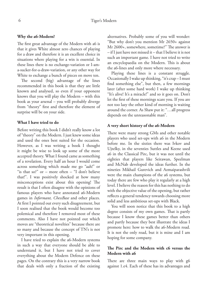#### Why the a6-Modern?

The first great advantage of the Modern with a6 is that it gives White almost zero chances of playing for a draw and therefore it is an excellent choice in situations where playing for a win is essential. In these lines there is no exchange-variation or I-ama-sucker-for-a-draw-variation, or any other way for White to exchange a bunch of pieces on move ten.

The second (big) advantage of the lines recommended in this book is that they are little known and analysed, so even if your opponent knows that you will play the Modern - with this book as your arsenal - you will probably diverge from "theory" first and therefore the element of surprise will be on your side.

#### What I have tried to do

Before writing this book I didn't really know a lot of "theory" on the Modern. I just knew some ideas and used the ones best suited for the occasion. However, as I was writing a book I thought it might be wise to look up some of the more accepted theory. What I found came as something of a revelation. Every half an hour I would come across something which made me go "aah!" or "is that so?" or - more often - "I don't believe that!". I was positively shocked at how many misconceptions exist about this opening! The result is that I often disagree with the opinions of famous players who have annotated a6-Modern games in *Informant*, *ChessBase* and other places. At first I pointed out every such disagreement, but I soon realised that the book would become too polemical and therefore I removed most of these comments. Also I have not pointed out which moves are "theoretical novelties" because there are so many and because the concept of TN's is not very important in this opening.

I have tried to explain the a6-Modern systems in such a way that everyone should be able to understand it, but I have not tried to cover everything about the Modern Defence on these pages. On the contrary this is a very narrow book that deals with only a fraction of the existing alternatives. Probably some of you will wonder: "But why don't you mention Mr 2650+ against Mr 2600+, somewhere, sometime?" The answer is - if I just have not missed it - that I believe it is not such an important game. I have not tried to write an encyclopaedia on the Modern. This is about the a6-lines and only more where necessary.

Playing these lines is a constant struggle. Occasionally I wake up thinking, "it's crap-I must find something else", but then, a few mornings later (after some hard work) I wake up thinking "It's alive! It's a miracle!" and so it goes on. Don't let the first of these mornings scare you. If you are not too lazy the other kind of morning is waiting around the corner. As Shaw put it: "...all progress depends on the unreasonable man".

#### A very short history of the a6-Modern

There were many strong GMs and other notable players who used set-ups with a6 in the Modern before me. In the sixties there was Ivkov and Uitelky, in the seventies Suttles and Keene used a6 in the Classical Pirc, but it was not until the eighties that players like Seirawan, Speelman and McNab developed the ideas further. In the nineties Mikhail Gurevich and Azmaiparashvili were the main champions of the a6 systems, but today there are few who play it regularly at a high level. I believe the reason for this has nothing to do with the objective value of the opening, but rather reflects a general tendency towards choosing more solid and less ambitious set-ups with Black.

You will soon notice that this book to a high degree consists of my own games. That is partly because I know these games better than others and partly because they best illustrate the ideas I promote here: how to walk the a6-Modern road. It is not the only road, but it is mine and I am hoping for some company.

#### The Pirc and the Modern with c6 versus the Modern with a6

There are three main ways to play with g6 against 1.e4. Each of these has its advantages and